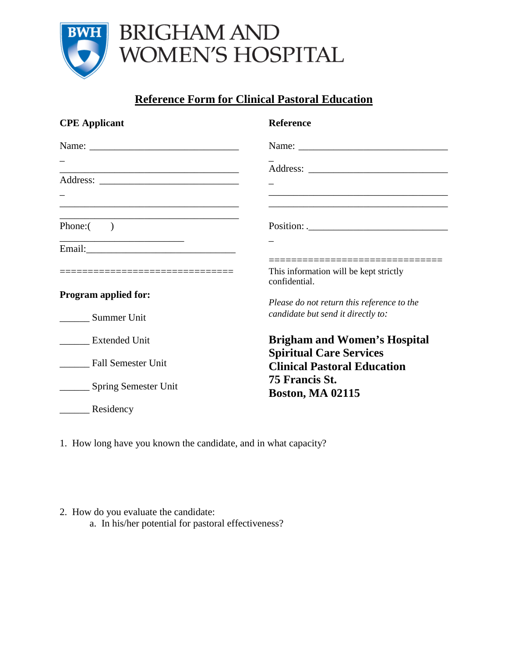

## BRIGHAM AND WOMEN'S HOSPITAL

## **Reference Form for Clinical Pastoral Education**

| <b>CPE</b> Applicant               | <b>Reference</b>                                                                      |
|------------------------------------|---------------------------------------------------------------------------------------|
|                                    |                                                                                       |
|                                    |                                                                                       |
|                                    |                                                                                       |
|                                    |                                                                                       |
| Phone: $($ )                       |                                                                                       |
|                                    |                                                                                       |
| __________________________________ | __________________________<br>This information will be kept strictly<br>confidential. |
| <b>Program applied for:</b>        | Please do not return this reference to the                                            |
| Summer Unit                        | candidate but send it directly to:                                                    |
| <b>Extended Unit</b>               | <b>Brigham and Women's Hospital</b>                                                   |
| <b>Fall Semester Unit</b>          | <b>Spiritual Care Services</b><br><b>Clinical Pastoral Education</b>                  |
| <b>Spring Semester Unit</b>        | 75 Francis St.<br><b>Boston, MA 02115</b>                                             |
| Residency                          |                                                                                       |

1. How long have you known the candidate, and in what capacity?

- 2. How do you evaluate the candidate:
	- a. In his/her potential for pastoral effectiveness?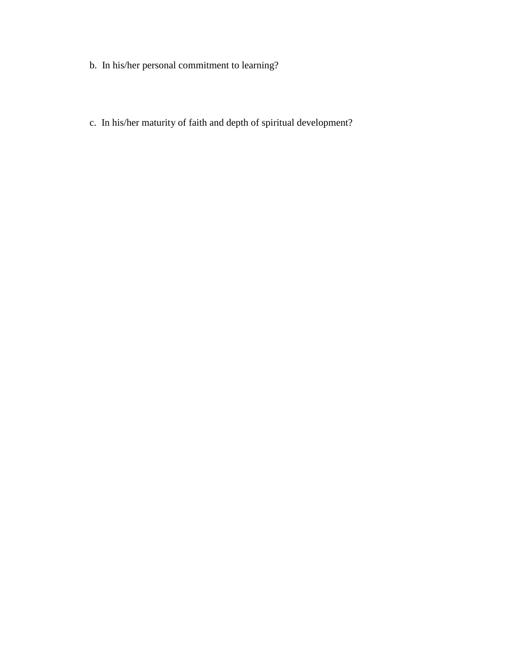- b. In his/her personal commitment to learning?
- c. In his/her maturity of faith and depth of spiritual development?